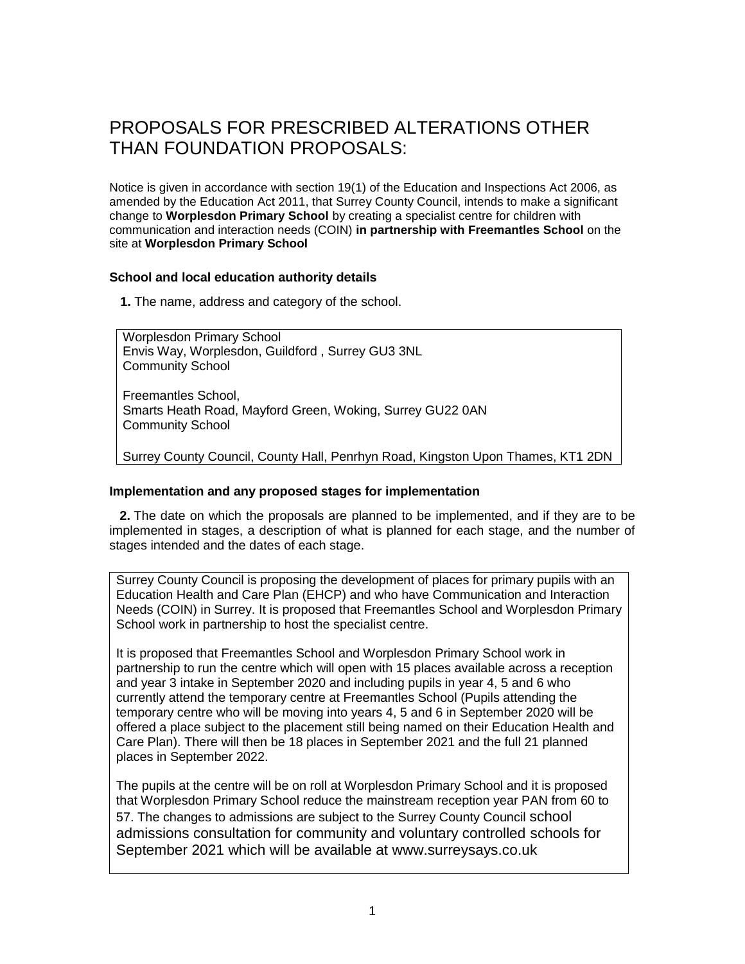# PROPOSALS FOR PRESCRIBED ALTERATIONS OTHER THAN FOUNDATION PROPOSALS:

Notice is given in accordance with section 19(1) of the Education and Inspections Act 2006, as amended by the Education Act 2011, that Surrey County Council, intends to make a significant change to **Worplesdon Primary School** by creating a specialist centre for children with communication and interaction needs (COIN) **in partnership with Freemantles School** on the site at **Worplesdon Primary School**

# **School and local education authority details**

**1.** The name, address and category of the school.

Worplesdon Primary School Envis Way, Worplesdon, Guildford , Surrey GU3 3NL Community School

Freemantles School, Smarts Heath Road, Mayford Green, Woking, Surrey GU22 0AN Community School

Surrey County Council, County Hall, Penrhyn Road, Kingston Upon Thames, KT1 2DN

# **Implementation and any proposed stages for implementation**

**2.** The date on which the proposals are planned to be implemented, and if they are to be implemented in stages, a description of what is planned for each stage, and the number of stages intended and the dates of each stage.

Surrey County Council is proposing the development of places for primary pupils with an Education Health and Care Plan (EHCP) and who have Communication and Interaction Needs (COIN) in Surrey. It is proposed that Freemantles School and Worplesdon Primary School work in partnership to host the specialist centre.

It is proposed that Freemantles School and Worplesdon Primary School work in partnership to run the centre which will open with 15 places available across a reception and year 3 intake in September 2020 and including pupils in year 4, 5 and 6 who currently attend the temporary centre at Freemantles School (Pupils attending the temporary centre who will be moving into years 4, 5 and 6 in September 2020 will be offered a place subject to the placement still being named on their Education Health and Care Plan). There will then be 18 places in September 2021 and the full 21 planned places in September 2022.

The pupils at the centre will be on roll at Worplesdon Primary School and it is proposed that Worplesdon Primary School reduce the mainstream reception year PAN from 60 to 57. The changes to admissions are subject to the Surrey County Council school admissions consultation for community and voluntary controlled schools for September 2021 which will be available at www.surreysays.co.uk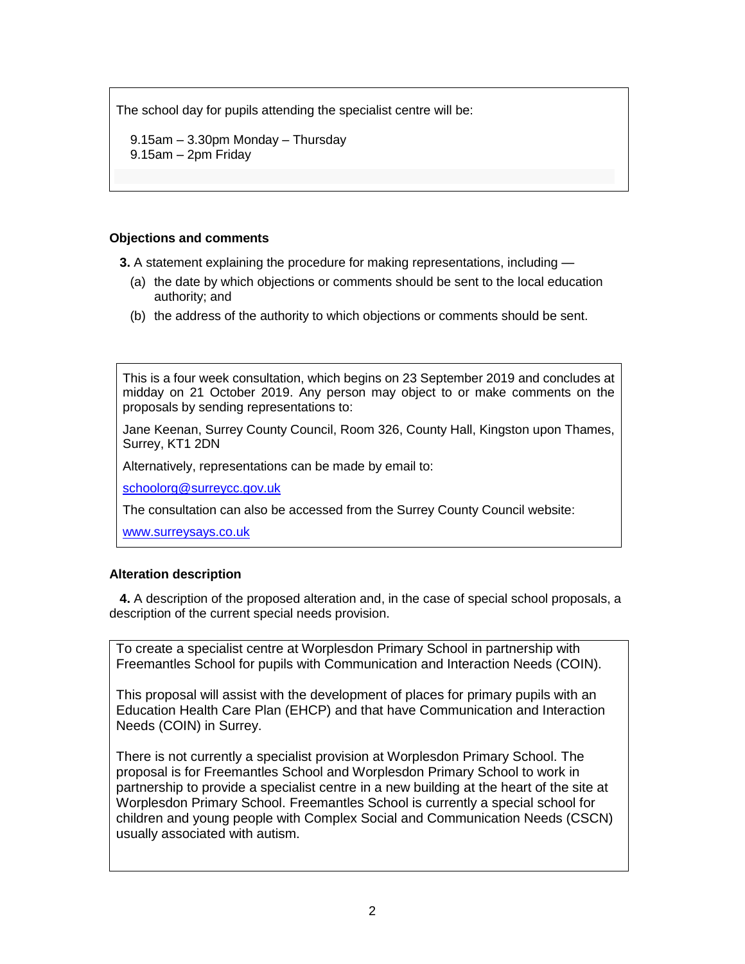The school day for pupils attending the specialist centre will be:

 9.15am – 3.30pm Monday – Thursday 9.15am – 2pm Friday

# **Objections and comments**

**3.** A statement explaining the procedure for making representations, including —

- (a) the date by which objections or comments should be sent to the local education authority; and
- (b) the address of the authority to which objections or comments should be sent.

This is a four week consultation, which begins on 23 September 2019 and concludes at midday on 21 October 2019. Any person may object to or make comments on the proposals by sending representations to:

Jane Keenan, Surrey County Council, Room 326, County Hall, Kingston upon Thames, Surrey, KT1 2DN

Alternatively, representations can be made by email to:

[schoolorg@surreycc.gov.uk](mailto:schoolorg@surreycc.gov.uk)

The consultation can also be accessed from the Surrey County Council website:

[www.surreysays.co.uk](http://www.surreysays.co.uk/)

# **Alteration description**

**4.** A description of the proposed alteration and, in the case of special school proposals, a description of the current special needs provision.

To create a specialist centre at Worplesdon Primary School in partnership with Freemantles School for pupils with Communication and Interaction Needs (COIN).

This proposal will assist with the development of places for primary pupils with an Education Health Care Plan (EHCP) and that have Communication and Interaction Needs (COIN) in Surrey.

There is not currently a specialist provision at Worplesdon Primary School. The proposal is for Freemantles School and Worplesdon Primary School to work in partnership to provide a specialist centre in a new building at the heart of the site at Worplesdon Primary School. Freemantles School is currently a special school for children and young people with Complex Social and Communication Needs (CSCN) usually associated with autism.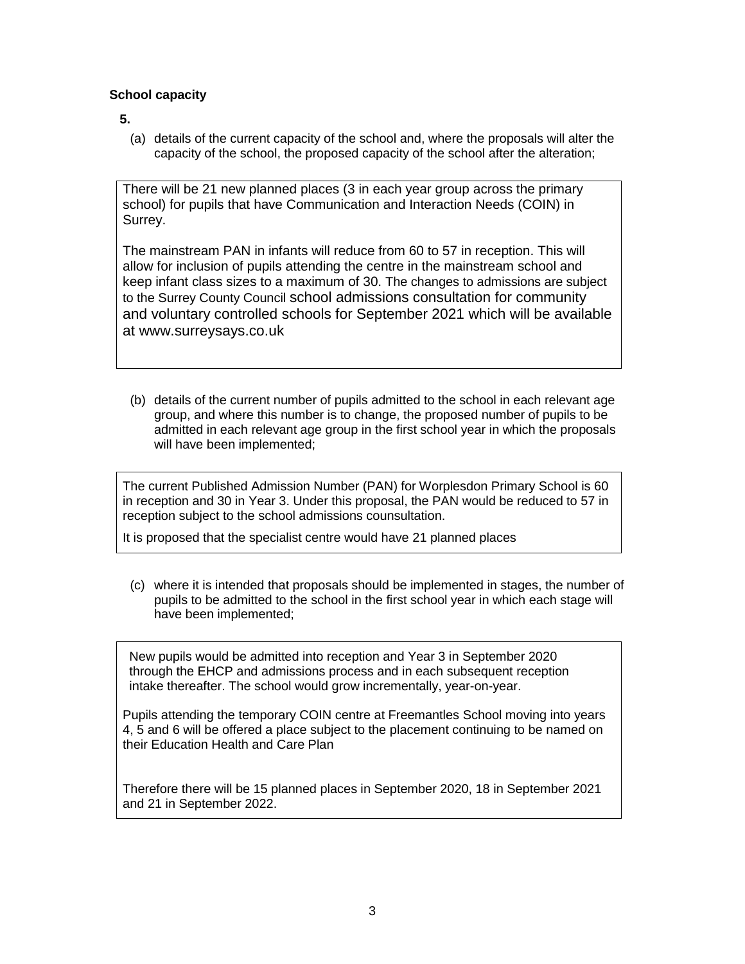# **School capacity**

**5.**

(a) details of the current capacity of the school and, where the proposals will alter the capacity of the school, the proposed capacity of the school after the alteration;

There will be 21 new planned places (3 in each year group across the primary school) for pupils that have Communication and Interaction Needs (COIN) in Surrey.

The mainstream PAN in infants will reduce from 60 to 57 in reception. This will allow for inclusion of pupils attending the centre in the mainstream school and keep infant class sizes to a maximum of 30. The changes to admissions are subject to the Surrey County Council school admissions consultation for community and voluntary controlled schools for September 2021 which will be available at www.surreysays.co.uk

(b) details of the current number of pupils admitted to the school in each relevant age group, and where this number is to change, the proposed number of pupils to be admitted in each relevant age group in the first school year in which the proposals will have been implemented;

The current Published Admission Number (PAN) for Worplesdon Primary School is 60 in reception and 30 in Year 3. Under this proposal, the PAN would be reduced to 57 in reception subject to the school admissions counsultation.

It is proposed that the specialist centre would have 21 planned places

(c) where it is intended that proposals should be implemented in stages, the number of pupils to be admitted to the school in the first school year in which each stage will have been implemented;

New pupils would be admitted into reception and Year 3 in September 2020 through the EHCP and admissions process and in each subsequent reception intake thereafter. The school would grow incrementally, year-on-year.

Pupils attending the temporary COIN centre at Freemantles School moving into years 4, 5 and 6 will be offered a place subject to the placement continuing to be named on their Education Health and Care Plan

Therefore there will be 15 planned places in September 2020, 18 in September 2021 and 21 in September 2022.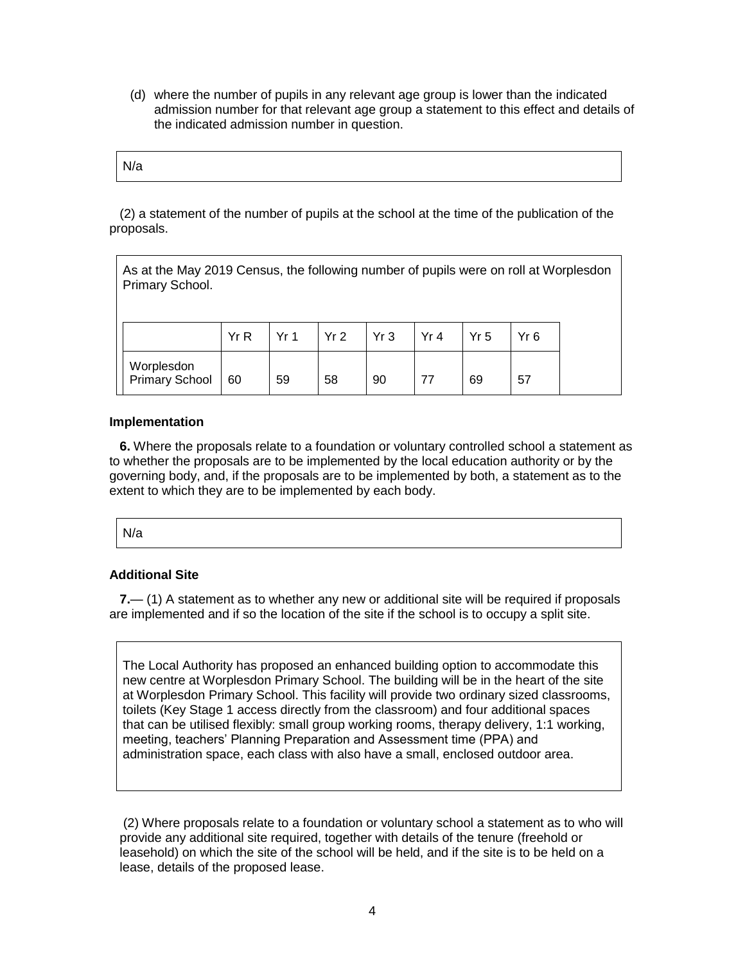(d) where the number of pupils in any relevant age group is lower than the indicated admission number for that relevant age group a statement to this effect and details of the indicated admission number in question.

| N/a |
|-----|
|-----|

(2) a statement of the number of pupils at the school at the time of the publication of the proposals.

| As at the May 2019 Census, the following number of pupils were on roll at Worplesdon<br>Primary School. |     |     |     |     |      |                 |                 |  |
|---------------------------------------------------------------------------------------------------------|-----|-----|-----|-----|------|-----------------|-----------------|--|
|                                                                                                         | YrR | Yr1 | Yr2 | Yr3 | Yr 4 | Yr <sub>5</sub> | Yr <sub>6</sub> |  |
| Worplesdon<br><b>Primary School</b>                                                                     | 60  | 59  | 58  | 90  | 77   | 69              | 57              |  |

# **Implementation**

**6.** Where the proposals relate to a foundation or voluntary controlled school a statement as to whether the proposals are to be implemented by the local education authority or by the governing body, and, if the proposals are to be implemented by both, a statement as to the extent to which they are to be implemented by each body.

N/a

# **Additional Site**

**7.**— (1) A statement as to whether any new or additional site will be required if proposals are implemented and if so the location of the site if the school is to occupy a split site.

The Local Authority has proposed an enhanced building option to accommodate this new centre at Worplesdon Primary School. The building will be in the heart of the site at Worplesdon Primary School. This facility will provide two ordinary sized classrooms, toilets (Key Stage 1 access directly from the classroom) and four additional spaces that can be utilised flexibly: small group working rooms, therapy delivery, 1:1 working, meeting, teachers' Planning Preparation and Assessment time (PPA) and administration space, each class with also have a small, enclosed outdoor area.

(2) Where proposals relate to a foundation or voluntary school a statement as to who will provide any additional site required, together with details of the tenure (freehold or leasehold) on which the site of the school will be held, and if the site is to be held on a lease, details of the proposed lease.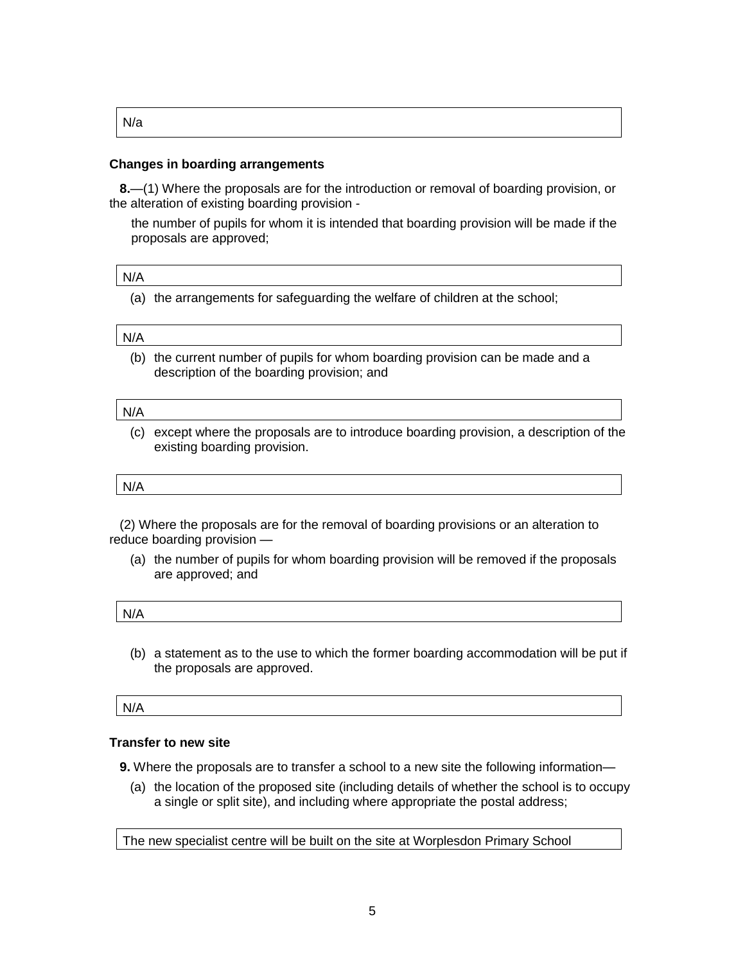| . .<br>M. |  |
|-----------|--|
|-----------|--|

## **Changes in boarding arrangements**

**8.**—(1) Where the proposals are for the introduction or removal of boarding provision, or the alteration of existing boarding provision -

the number of pupils for whom it is intended that boarding provision will be made if the proposals are approved;

#### N/A

(a) the arrangements for safeguarding the welfare of children at the school;

#### N/A

(b) the current number of pupils for whom boarding provision can be made and a description of the boarding provision; and

#### N/A

(c) except where the proposals are to introduce boarding provision, a description of the existing boarding provision.

#### N/A

(2) Where the proposals are for the removal of boarding provisions or an alteration to reduce boarding provision —

(a) the number of pupils for whom boarding provision will be removed if the proposals are approved; and

| N/A |  |  |
|-----|--|--|
|     |  |  |

(b) a statement as to the use to which the former boarding accommodation will be put if the proposals are approved.

N/A

# **Transfer to new site**

**9.** Where the proposals are to transfer a school to a new site the following information—

(a) the location of the proposed site (including details of whether the school is to occupy a single or split site), and including where appropriate the postal address;

The new specialist centre will be built on the site at Worplesdon Primary School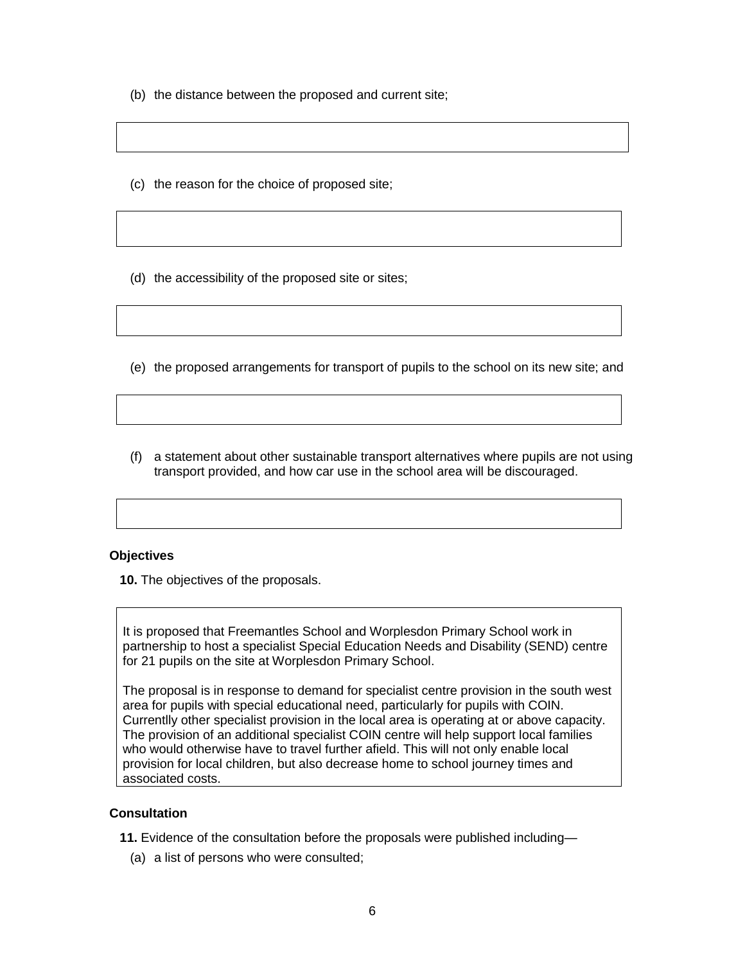- (b) the distance between the proposed and current site;
- (c) the reason for the choice of proposed site;
- (d) the accessibility of the proposed site or sites;
- (e) the proposed arrangements for transport of pupils to the school on its new site; and
- (f) a statement about other sustainable transport alternatives where pupils are not using transport provided, and how car use in the school area will be discouraged.

#### **Objectives**

**10.** The objectives of the proposals.

It is proposed that Freemantles School and Worplesdon Primary School work in partnership to host a specialist Special Education Needs and Disability (SEND) centre for 21 pupils on the site at Worplesdon Primary School.

The proposal is in response to demand for specialist centre provision in the south west area for pupils with special educational need, particularly for pupils with COIN. Currentlly other specialist provision in the local area is operating at or above capacity. The provision of an additional specialist COIN centre will help support local families who would otherwise have to travel further afield. This will not only enable local provision for local children, but also decrease home to school journey times and associated costs.

#### **Consultation**

- **11.** Evidence of the consultation before the proposals were published including—
	- (a) a list of persons who were consulted;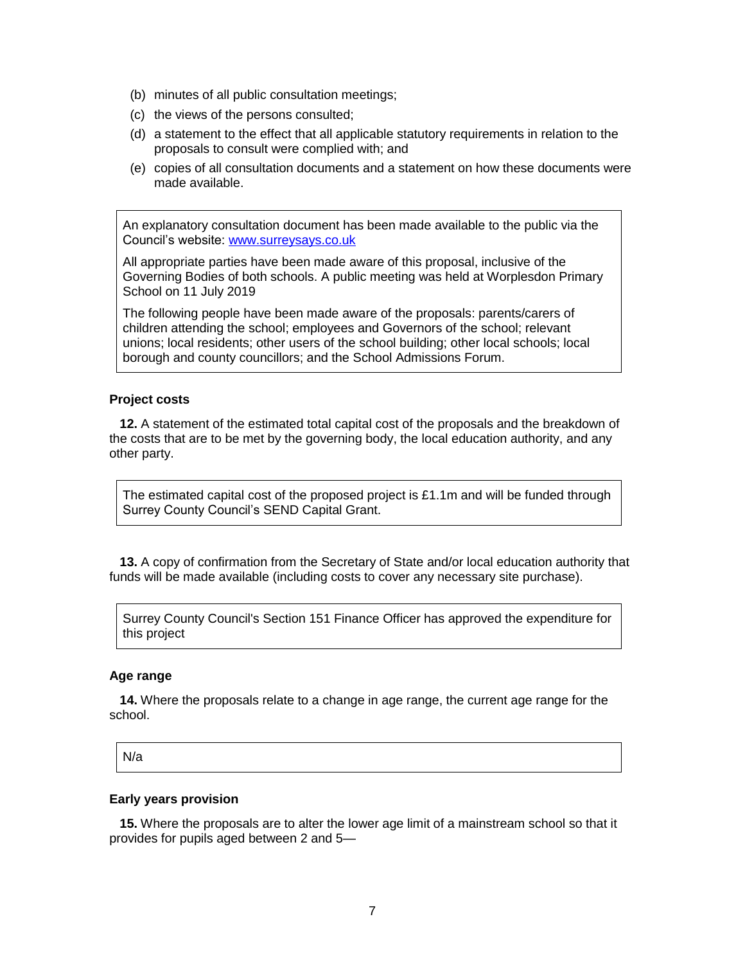- (b) minutes of all public consultation meetings;
- (c) the views of the persons consulted;
- (d) a statement to the effect that all applicable statutory requirements in relation to the proposals to consult were complied with; and
- (e) copies of all consultation documents and a statement on how these documents were made available.

An explanatory consultation document has been made available to the public via the Council's website: [www.surreysays.co.uk](http://www.surreysays.co.uk/)

All appropriate parties have been made aware of this proposal, inclusive of the Governing Bodies of both schools. A public meeting was held at Worplesdon Primary School on 11 July 2019

The following people have been made aware of the proposals: parents/carers of children attending the school; employees and Governors of the school; relevant unions; local residents; other users of the school building; other local schools; local borough and county councillors; and the School Admissions Forum.

# **Project costs**

**12.** A statement of the estimated total capital cost of the proposals and the breakdown of the costs that are to be met by the governing body, the local education authority, and any other party.

The estimated capital cost of the proposed project is £1.1m and will be funded through Surrey County Council's SEND Capital Grant.

**13.** A copy of confirmation from the Secretary of State and/or local education authority that funds will be made available (including costs to cover any necessary site purchase).

Surrey County Council's Section 151 Finance Officer has approved the expenditure for this project

#### **Age range**

**14.** Where the proposals relate to a change in age range, the current age range for the school.

N/a

#### **Early years provision**

**15.** Where the proposals are to alter the lower age limit of a mainstream school so that it provides for pupils aged between 2 and 5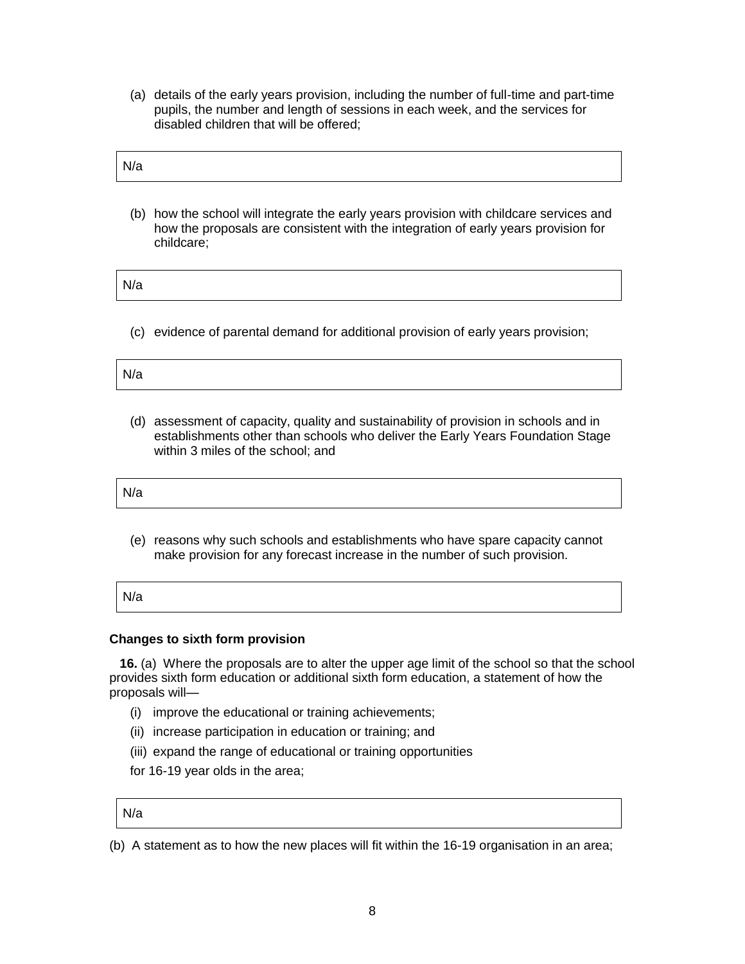(a) details of the early years provision, including the number of full-time and part-time pupils, the number and length of sessions in each week, and the services for disabled children that will be offered;

| N/2 |  |  |  |
|-----|--|--|--|
|     |  |  |  |

(b) how the school will integrate the early years provision with childcare services and how the proposals are consistent with the integration of early years provision for childcare;

N/a

(c) evidence of parental demand for additional provision of early years provision;

| N/c<br>$\sqrt{C}$ |  |  |  |
|-------------------|--|--|--|
|                   |  |  |  |

(d) assessment of capacity, quality and sustainability of provision in schools and in establishments other than schools who deliver the Early Years Foundation Stage within 3 miles of the school; and

(e) reasons why such schools and establishments who have spare capacity cannot make provision for any forecast increase in the number of such provision.

| N/a |  |  |
|-----|--|--|
|     |  |  |

# **Changes to sixth form provision**

**16.** (a) Where the proposals are to alter the upper age limit of the school so that the school provides sixth form education or additional sixth form education, a statement of how the proposals will—

- (i) improve the educational or training achievements;
- (ii) increase participation in education or training; and
- (iii) expand the range of educational or training opportunities
- for 16-19 year olds in the area;

N/a

(b) A statement as to how the new places will fit within the 16-19 organisation in an area;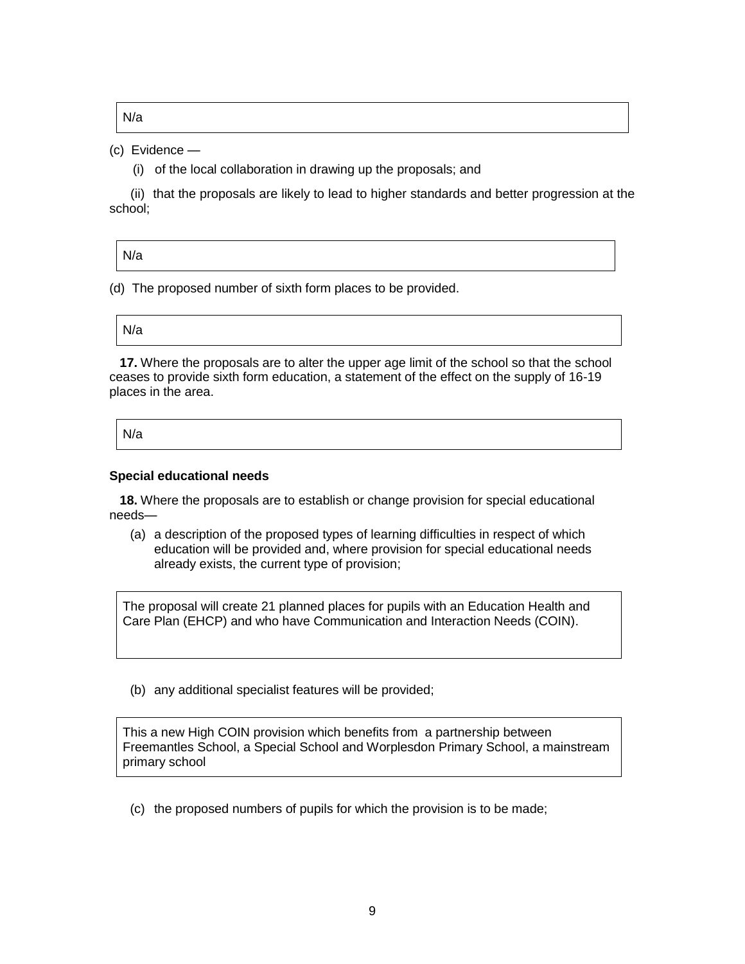N/a

# (c) Evidence —

(i) of the local collaboration in drawing up the proposals; and

 (ii) that the proposals are likely to lead to higher standards and better progression at the school;

| N/a |
|-----|
|-----|

(d) The proposed number of sixth form places to be provided.

N/a

**17.** Where the proposals are to alter the upper age limit of the school so that the school ceases to provide sixth form education, a statement of the effect on the supply of 16-19 places in the area.

N/a

# **Special educational needs**

**18.** Where the proposals are to establish or change provision for special educational needs—

(a) a description of the proposed types of learning difficulties in respect of which education will be provided and, where provision for special educational needs already exists, the current type of provision;

The proposal will create 21 planned places for pupils with an Education Health and Care Plan (EHCP) and who have Communication and Interaction Needs (COIN).

(b) any additional specialist features will be provided;

This a new High COIN provision which benefits from a partnership between Freemantles School, a Special School and Worplesdon Primary School, a mainstream primary school

(c) the proposed numbers of pupils for which the provision is to be made;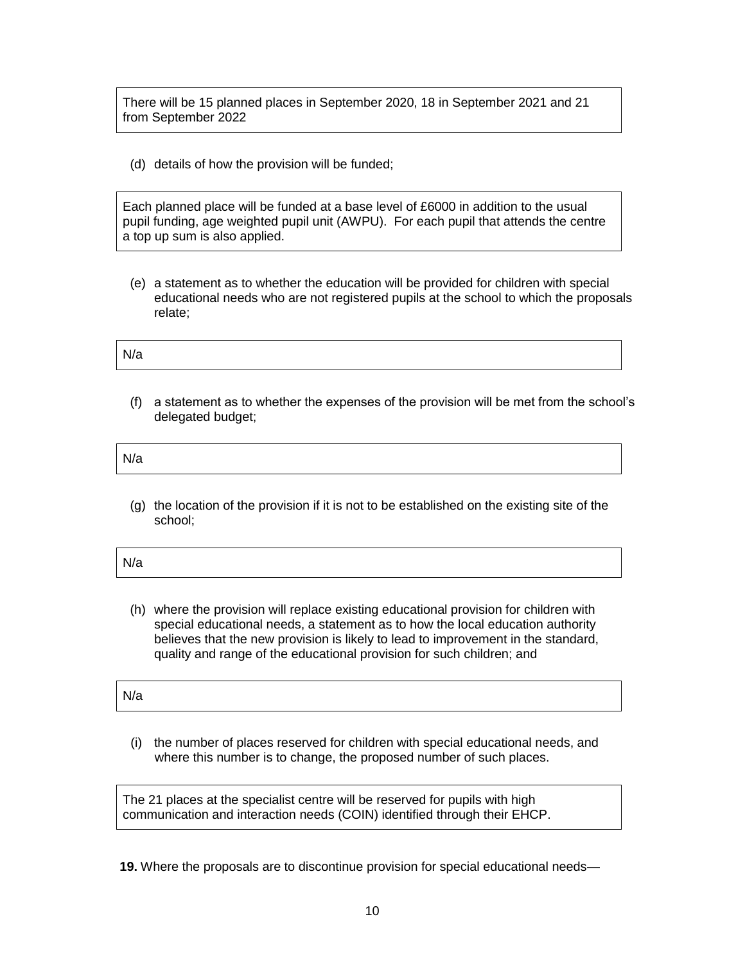There will be 15 planned places in September 2020, 18 in September 2021 and 21 from September 2022

(d) details of how the provision will be funded;

Each planned place will be funded at a base level of £6000 in addition to the usual pupil funding, age weighted pupil unit (AWPU). For each pupil that attends the centre a top up sum is also applied.

(e) a statement as to whether the education will be provided for children with special educational needs who are not registered pupils at the school to which the proposals relate;

N/a

(f) a statement as to whether the expenses of the provision will be met from the school's delegated budget;

N/a

(g) the location of the provision if it is not to be established on the existing site of the school;

| N/a |
|-----|
|-----|

(h) where the provision will replace existing educational provision for children with special educational needs, a statement as to how the local education authority believes that the new provision is likely to lead to improvement in the standard, quality and range of the educational provision for such children; and

(i) the number of places reserved for children with special educational needs, and where this number is to change, the proposed number of such places.

The 21 places at the specialist centre will be reserved for pupils with high communication and interaction needs (COIN) identified through their EHCP.

N/a

**19.** Where the proposals are to discontinue provision for special educational needs—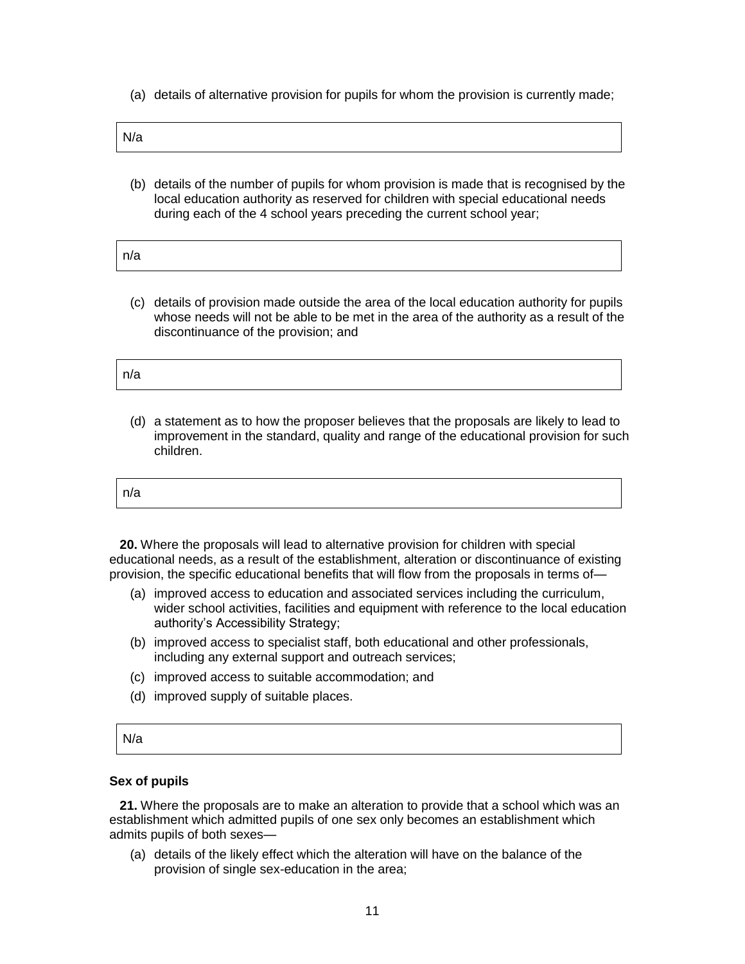(a) details of alternative provision for pupils for whom the provision is currently made;

| в.<br>$M^{\prime}$<br>v/a |
|---------------------------|
|---------------------------|

(b) details of the number of pupils for whom provision is made that is recognised by the local education authority as reserved for children with special educational needs during each of the 4 school years preceding the current school year;

| n/a |
|-----|
|-----|

(c) details of provision made outside the area of the local education authority for pupils whose needs will not be able to be met in the area of the authority as a result of the discontinuance of the provision; and

| מו ר |  |  |  |
|------|--|--|--|
|      |  |  |  |

(d) a statement as to how the proposer believes that the proposals are likely to lead to improvement in the standard, quality and range of the educational provision for such children.

| n/a |  |
|-----|--|
|-----|--|

**20.** Where the proposals will lead to alternative provision for children with special educational needs, as a result of the establishment, alteration or discontinuance of existing provision, the specific educational benefits that will flow from the proposals in terms of—

- (a) improved access to education and associated services including the curriculum, wider school activities, facilities and equipment with reference to the local education authority's Accessibility Strategy;
- (b) improved access to specialist staff, both educational and other professionals, including any external support and outreach services;
- (c) improved access to suitable accommodation; and
- (d) improved supply of suitable places.

| N/a |  |  |  |
|-----|--|--|--|
|     |  |  |  |

## **Sex of pupils**

**21.** Where the proposals are to make an alteration to provide that a school which was an establishment which admitted pupils of one sex only becomes an establishment which admits pupils of both sexes—

(a) details of the likely effect which the alteration will have on the balance of the provision of single sex-education in the area;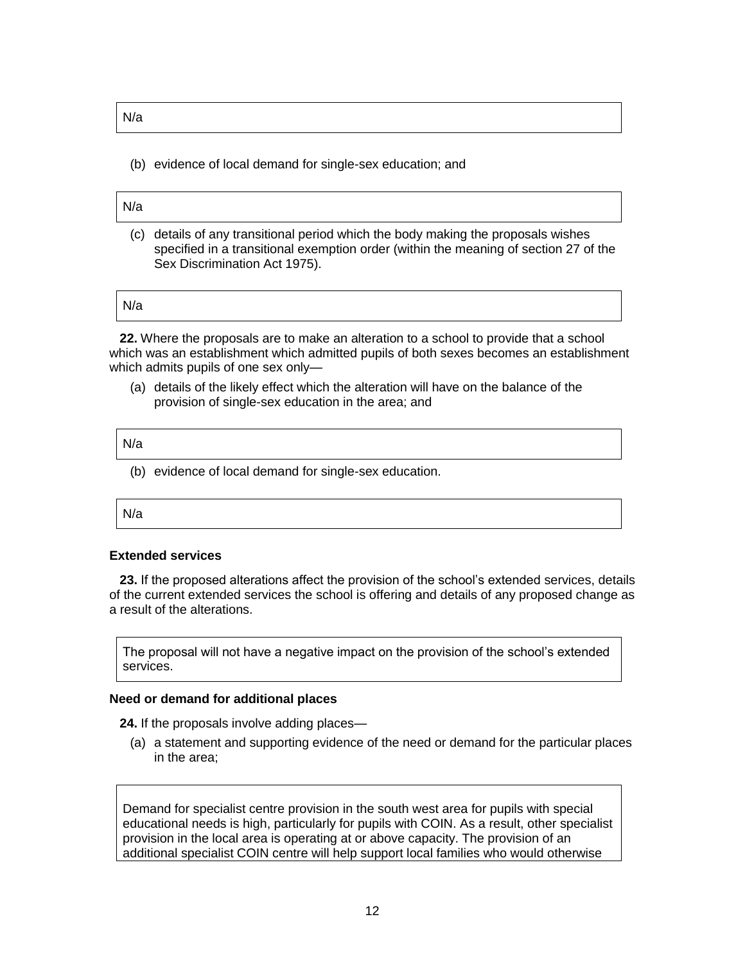N/a

(b) evidence of local demand for single-sex education; and

#### N/a

(c) details of any transitional period which the body making the proposals wishes specified in a transitional exemption order (within the meaning of section 27 of the Sex Discrimination Act 1975).

N/a

**22.** Where the proposals are to make an alteration to a school to provide that a school which was an establishment which admitted pupils of both sexes becomes an establishment which admits pupils of one sex only—

(a) details of the likely effect which the alteration will have on the balance of the provision of single-sex education in the area; and

N/a

(b) evidence of local demand for single-sex education.

N/a

#### **Extended services**

**23.** If the proposed alterations affect the provision of the school's extended services, details of the current extended services the school is offering and details of any proposed change as a result of the alterations.

The proposal will not have a negative impact on the provision of the school's extended services.

#### **Need or demand for additional places**

**24.** If the proposals involve adding places—

(a) a statement and supporting evidence of the need or demand for the particular places in the area;

Demand for specialist centre provision in the south west area for pupils with special educational needs is high, particularly for pupils with COIN. As a result, other specialist provision in the local area is operating at or above capacity. The provision of an additional specialist COIN centre will help support local families who would otherwise